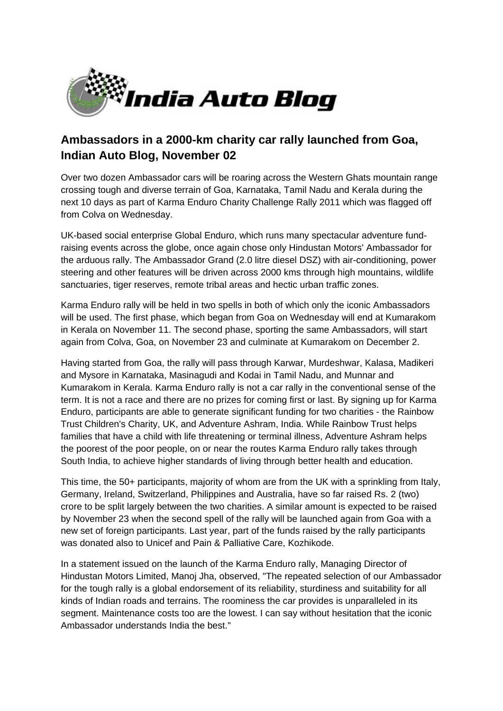

## **Ambassadors in a 2000-km charity car rally launched from Goa, Indian Auto Blog, November 02**

Over two dozen Ambassador cars will be roaring across the Western Ghats mountain range crossing tough and diverse terrain of Goa, Karnataka, Tamil Nadu and Kerala during the next 10 days as part of Karma Enduro Charity Challenge Rally 2011 which was flagged off from Colva on Wednesday.

UK-based social enterprise Global Enduro, which runs many spectacular adventure fundraising events across the globe, once again chose only Hindustan Motors' Ambassador for the arduous rally. The Ambassador Grand (2.0 litre diesel DSZ) with air-conditioning, power steering and other features will be driven across 2000 kms through high mountains, wildlife sanctuaries, tiger reserves, remote tribal areas and hectic urban traffic zones.

Karma Enduro rally will be held in two spells in both of which only the iconic Ambassadors will be used. The first phase, which began from Goa on Wednesday will end at Kumarakom in Kerala on November 11. The second phase, sporting the same Ambassadors, will start again from Colva, Goa, on November 23 and culminate at Kumarakom on December 2.

Having started from Goa, the rally will pass through Karwar, Murdeshwar, Kalasa, Madikeri and Mysore in Karnataka, Masinagudi and Kodai in Tamil Nadu, and Munnar and Kumarakom in Kerala. Karma Enduro rally is not a car rally in the conventional sense of the term. It is not a race and there are no prizes for coming first or last. By signing up for Karma Enduro, participants are able to generate significant funding for two charities - the Rainbow Trust Children's Charity, UK, and Adventure Ashram, India. While Rainbow Trust helps families that have a child with life threatening or terminal illness, Adventure Ashram helps the poorest of the poor people, on or near the routes Karma Enduro rally takes through South India, to achieve higher standards of living through better health and education.

This time, the 50+ participants, majority of whom are from the UK with a sprinkling from Italy, Germany, Ireland, Switzerland, Philippines and Australia, have so far raised Rs. 2 (two) crore to be split largely between the two charities. A similar amount is expected to be raised by November 23 when the second spell of the rally will be launched again from Goa with a new set of foreign participants. Last year, part of the funds raised by the rally participants was donated also to Unicef and Pain & Palliative Care, Kozhikode.

In a statement issued on the launch of the Karma Enduro rally, Managing Director of Hindustan Motors Limited, Manoj Jha, observed, "The repeated selection of our Ambassador for the tough rally is a global endorsement of its reliability, sturdiness and suitability for all kinds of Indian roads and terrains. The roominess the car provides is unparalleled in its segment. Maintenance costs too are the lowest. I can say without hesitation that the iconic Ambassador understands India the best."